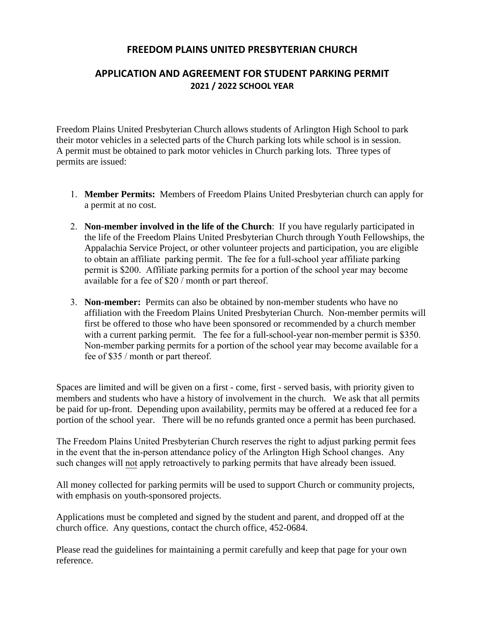#### **FREEDOM PLAINS UNITED PRESBYTERIAN CHURCH**

# **APPLICATION AND AGREEMENT FOR STUDENT PARKING PERMIT 2021 / 2022 SCHOOL YEAR**

Freedom Plains United Presbyterian Church allows students of Arlington High School to park their motor vehicles in a selected parts of the Church parking lots while school is in session. A permit must be obtained to park motor vehicles in Church parking lots. Three types of permits are issued:

- 1. **Member Permits:** Members of Freedom Plains United Presbyterian church can apply for a permit at no cost.
- 2. **Non-member involved in the life of the Church**: If you have regularly participated in the life of the Freedom Plains United Presbyterian Church through Youth Fellowships, the Appalachia Service Project, or other volunteer projects and participation, you are eligible to obtain an affiliate parking permit. The fee for a full-school year affiliate parking permit is \$200. Affiliate parking permits for a portion of the school year may become available for a fee of \$20 / month or part thereof.
- 3. **Non-member:** Permits can also be obtained by non-member students who have no affiliation with the Freedom Plains United Presbyterian Church. Non-member permits will first be offered to those who have been sponsored or recommended by a church member with a current parking permit. The fee for a full-school-year non-member permit is \$350. Non-member parking permits for a portion of the school year may become available for a fee of \$35 / month or part thereof.

Spaces are limited and will be given on a first - come, first - served basis, with priority given to members and students who have a history of involvement in the church. We ask that all permits be paid for up-front. Depending upon availability, permits may be offered at a reduced fee for a portion of the school year. There will be no refunds granted once a permit has been purchased.

The Freedom Plains United Presbyterian Church reserves the right to adjust parking permit fees in the event that the in-person attendance policy of the Arlington High School changes. Any such changes will not apply retroactively to parking permits that have already been issued.

All money collected for parking permits will be used to support Church or community projects, with emphasis on youth-sponsored projects.

Applications must be completed and signed by the student and parent, and dropped off at the church office. Any questions, contact the church office, 452-0684.

Please read the guidelines for maintaining a permit carefully and keep that page for your own reference.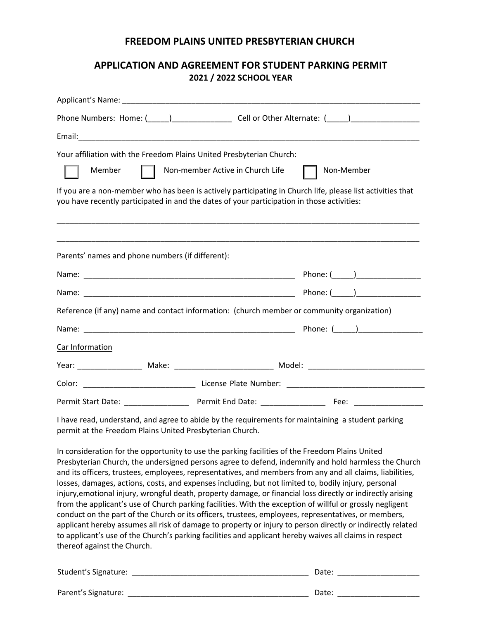#### **FREEDOM PLAINS UNITED PRESBYTERIAN CHURCH**

# **APPLICATION AND AGREEMENT FOR STUDENT PARKING PERMIT 2021 / 2022 SCHOOL YEAR**

| Phone Numbers: Home: (_____)______________________________Cell or Other Alternate: (_____)___________________                                                                                            |            |  |
|----------------------------------------------------------------------------------------------------------------------------------------------------------------------------------------------------------|------------|--|
|                                                                                                                                                                                                          |            |  |
| Your affiliation with the Freedom Plains United Presbyterian Church:                                                                                                                                     |            |  |
| Non-member Active in Church Life<br>Member                                                                                                                                                               | Non-Member |  |
| If you are a non-member who has been is actively participating in Church life, please list activities that<br>you have recently participated in and the dates of your participation in those activities: |            |  |
| Parents' names and phone numbers (if different):                                                                                                                                                         |            |  |
|                                                                                                                                                                                                          |            |  |
|                                                                                                                                                                                                          |            |  |
| Reference (if any) name and contact information: (church member or community organization)                                                                                                               |            |  |
|                                                                                                                                                                                                          |            |  |
| Car Information                                                                                                                                                                                          |            |  |
|                                                                                                                                                                                                          |            |  |
| Color:                                                                                                                                                                                                   |            |  |
|                                                                                                                                                                                                          |            |  |

I have read, understand, and agree to abide by the requirements for maintaining a student parking permit at the Freedom Plains United Presbyterian Church.

In consideration for the opportunity to use the parking facilities of the Freedom Plains United Presbyterian Church, the undersigned persons agree to defend, indemnify and hold harmless the Church and its officers, trustees, employees, representatives, and members from any and all claims, liabilities, losses, damages, actions, costs, and expenses including, but not limited to, bodily injury, personal injury,emotional injury, wrongful death, property damage, or financial loss directly or indirectly arising from the applicant's use of Church parking facilities. With the exception of willful or grossly negligent conduct on the part of the Church or its officers, trustees, employees, representatives, or members, applicant hereby assumes all risk of damage to property or injury to person directly or indirectly related to applicant's use of the Church's parking facilities and applicant hereby waives all claims in respect thereof against the Church.

| Student's Signature: | Date. |
|----------------------|-------|
|                      |       |
| Parent's Signature:  | Date: |
|                      |       |